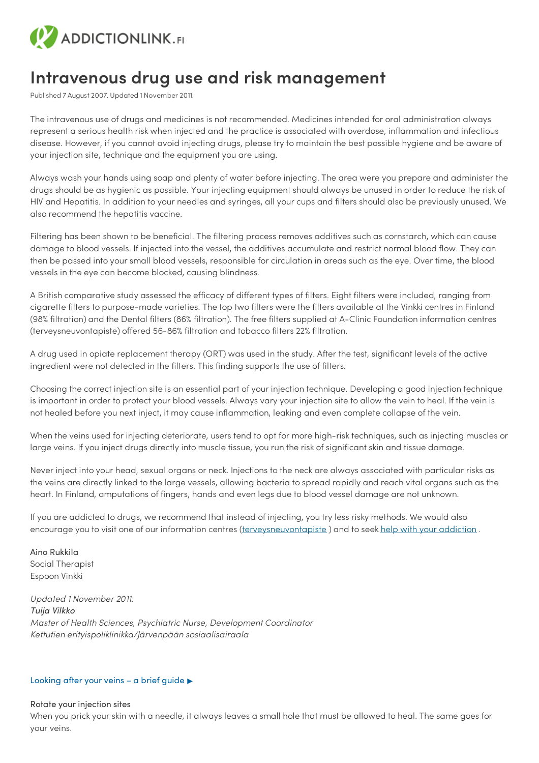

# **Intravenous drug use and risk management**

Published 7 August 2007. Updated 1 November 2011.

The intravenous use of drugs and medicines is not recommended. Medicines intended for oral administration always represent a serious health risk when injected and the practice is associated with overdose, inflammation and infectious disease. However, if you cannot avoid injecting drugs, please try to maintain the best possible hygiene and be aware of your injection site, technique and the equipment you are using.

Always wash your hands using soap and plenty of water before injecting. The area were you prepare and administer the drugs should be as hygienic as possible. Your injecting equipment should always be unused in order to reduce the risk of HIV and Hepatitis. In addition to your needles and syringes, all your cups and filters should also be previously unused. We also recommend the hepatitis vaccine.

Filtering has been shown to be beneficial. The filtering process removes additives such as cornstarch, which can cause damage to blood vessels. If injected into the vessel, the additives accumulate and restrict normal blood flow. They can then be passed into your small blood vessels, responsible for circulation in areas such as the eye. Over time, the blood vessels in the eye can become blocked, causing blindness.

A British comparative study assessed the efficacy of different types of filters. Eight filters were included, ranging from cigarette filters to purpose-made varieties. The top two filters were the filters available at the Vinkki centres in Finland (98% filtration) and the Dental filters (86% filtration). The free filters supplied at A-Clinic Foundation information centres (terveysneuvontapiste) offered 56-86% filtration and tobacco filters 22% filtration.

A drug used in opiate replacement therapy (ORT) was used in the study. After the test, significant levels of the active ingredient were not detected in the filters. This finding supports the use of filters.

Choosing the correct injection site is an essential part of your injection technique. Developing a good injection technique is important in order to protect your blood vessels. Always vary your injection site to allow the vein to heal. If the vein is not healed before you next inject, it may cause inflammation, leaking and even complete collapse of the vein.

When the veins used for injecting deteriorate, users tend to opt for more high-risk techniques, such as injecting muscles or large veins. If you inject drugs directly into muscle tissue, you run the risk of significant skin and tissue damage.

Never inject into your head, sexual organs or neck. Injections to the neck are always associated with particular risks as the veins are directly linked to the large vessels, allowing bacteria to spread rapidly and reach vital organs such as the heart. In Finland, amputations of fingers, hands and even legs due to blood vessel damage are not unknown.

If you are addicted to drugs, we recommend that instead of injecting, you try less risky methods. We would also encourage you to visit one of our information centres [\(terveysneuvontapiste](https://www.a-klinikka.fi/palvelut/matalan-kynnyksen-palvelut)) and to seek help with your [addiction](https://paihdelinkki.fi/en/info-bank/articles/substance-abuse-treatment/service-units-intoxicant-treatment).

Aino Rukkila Social Therapist Espoon Vinkki

*Updated 1 November 2011: Tuija Vilkko Master of Health Sciences, Psychiatric Nurse, Development Coordinator Kettutien erityispoliklinikka/Järvenpään sosiaalisairaala*

#### Looking after your veins – a brief guide ▶

#### Rotate your injection sites

When you prick your skin with a needle, it always leaves a small hole that must be allowed to heal. The same goes for your veins.